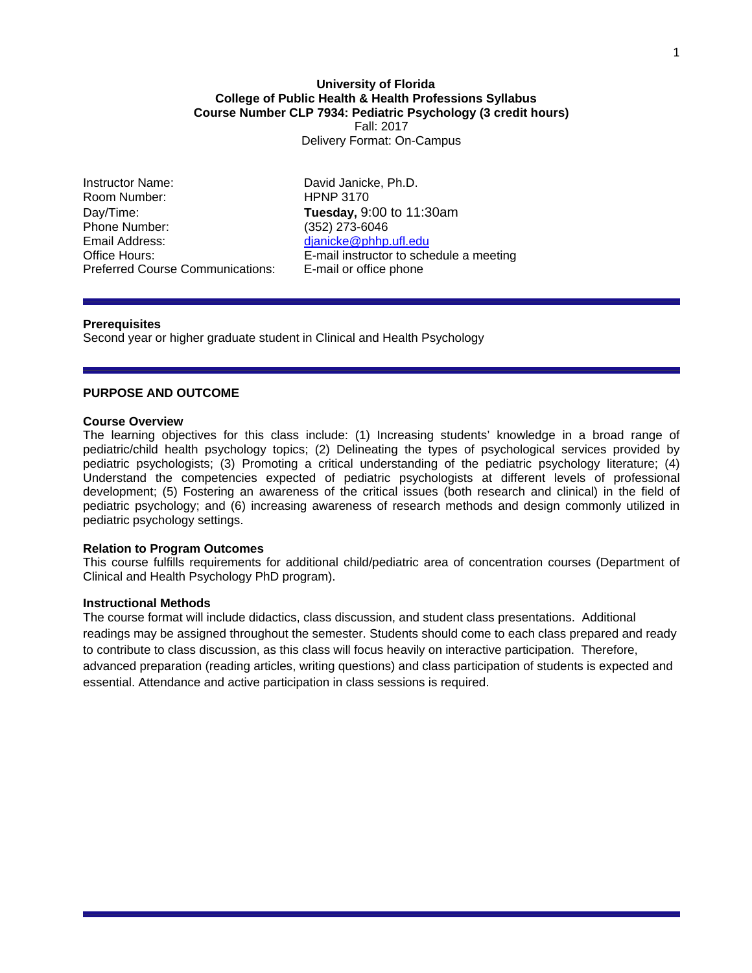## **University of Florida College of Public Health & Health Professions Syllabus Course Number CLP 7934: Pediatric Psychology (3 credit hours)**  Fall: 2017 Delivery Format: On-Campus

Instructor Name: David Janicke, Ph.D. Room Number: HPNP 3170 Day/Time: **Tuesday,** 9:00 to 11:30am Phone Number: (352) 273-6046 Email Address: dianicke@phhp.ufl.edu Preferred Course Communications: E-mail or office phone

Office Hours: E-mail instructor to schedule a meeting

## **Prerequisites**

Second year or higher graduate student in Clinical and Health Psychology

# **PURPOSE AND OUTCOME**

## **Course Overview**

The learning objectives for this class include: (1) Increasing students' knowledge in a broad range of pediatric/child health psychology topics; (2) Delineating the types of psychological services provided by pediatric psychologists; (3) Promoting a critical understanding of the pediatric psychology literature; (4) Understand the competencies expected of pediatric psychologists at different levels of professional development; (5) Fostering an awareness of the critical issues (both research and clinical) in the field of pediatric psychology; and (6) increasing awareness of research methods and design commonly utilized in pediatric psychology settings.

## **Relation to Program Outcomes**

This course fulfills requirements for additional child/pediatric area of concentration courses (Department of Clinical and Health Psychology PhD program).

## **Instructional Methods**

The course format will include didactics, class discussion, and student class presentations. Additional readings may be assigned throughout the semester. Students should come to each class prepared and ready to contribute to class discussion, as this class will focus heavily on interactive participation. Therefore, advanced preparation (reading articles, writing questions) and class participation of students is expected and essential. Attendance and active participation in class sessions is required.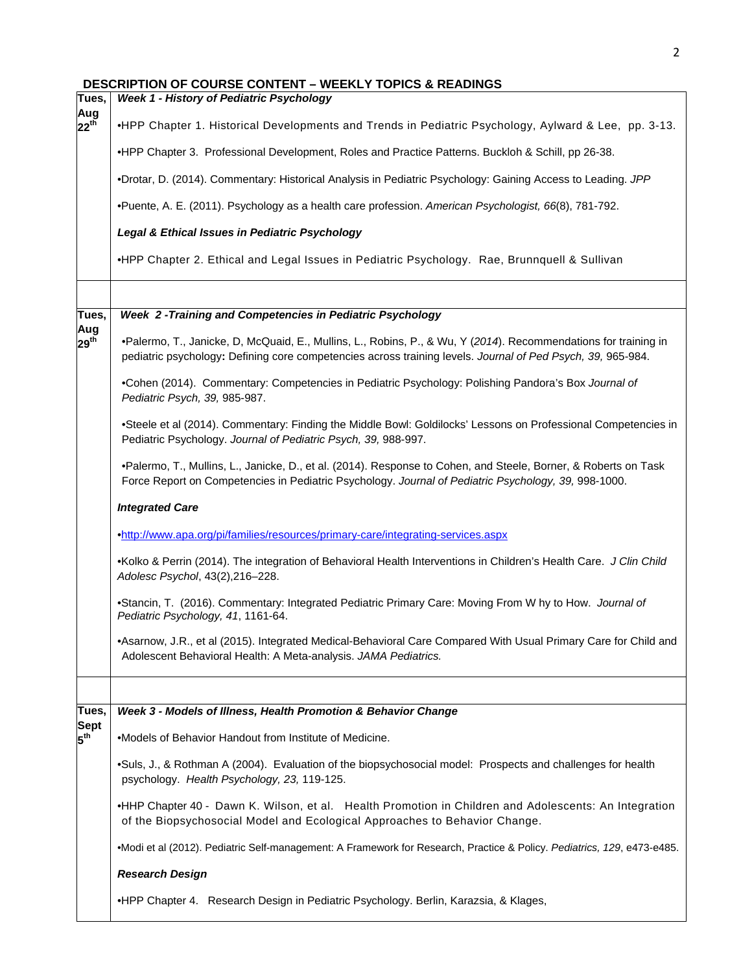|  | <b>DESCRIPTION OF COURSE CONTENT – WEEKLY TOPICS &amp; READINGS</b> |  |  |
|--|---------------------------------------------------------------------|--|--|
|--|---------------------------------------------------------------------|--|--|

| Tues,                          | <b>Week 1 - History of Pediatric Psychology</b>                                                                                                                                                                                |  |  |  |  |  |  |  |  |  |
|--------------------------------|--------------------------------------------------------------------------------------------------------------------------------------------------------------------------------------------------------------------------------|--|--|--|--|--|--|--|--|--|
| Aug<br>$22^{th}$               | •HPP Chapter 1. Historical Developments and Trends in Pediatric Psychology, Aylward & Lee, pp. 3-13.                                                                                                                           |  |  |  |  |  |  |  |  |  |
|                                | •HPP Chapter 3. Professional Development, Roles and Practice Patterns. Buckloh & Schill, pp 26-38.                                                                                                                             |  |  |  |  |  |  |  |  |  |
|                                | .Drotar, D. (2014). Commentary: Historical Analysis in Pediatric Psychology: Gaining Access to Leading. JPP                                                                                                                    |  |  |  |  |  |  |  |  |  |
|                                | •Puente, A. E. (2011). Psychology as a health care profession. American Psychologist, 66(8), 781-792.                                                                                                                          |  |  |  |  |  |  |  |  |  |
|                                | Legal & Ethical Issues in Pediatric Psychology                                                                                                                                                                                 |  |  |  |  |  |  |  |  |  |
|                                | .HPP Chapter 2. Ethical and Legal Issues in Pediatric Psychology. Rae, Brunnquell & Sullivan                                                                                                                                   |  |  |  |  |  |  |  |  |  |
|                                |                                                                                                                                                                                                                                |  |  |  |  |  |  |  |  |  |
| Tues,<br>Aug                   | Week 2 - Training and Competencies in Pediatric Psychology                                                                                                                                                                     |  |  |  |  |  |  |  |  |  |
| $29^{th}$                      | •Palermo, T., Janicke, D, McQuaid, E., Mullins, L., Robins, P., & Wu, Y (2014). Recommendations for training in<br>pediatric psychology: Defining core competencies across training levels. Journal of Ped Psych, 39, 965-984. |  |  |  |  |  |  |  |  |  |
|                                | .Cohen (2014). Commentary: Competencies in Pediatric Psychology: Polishing Pandora's Box Journal of<br>Pediatric Psych, 39, 985-987.                                                                                           |  |  |  |  |  |  |  |  |  |
|                                | •Steele et al (2014). Commentary: Finding the Middle Bowl: Goldilocks' Lessons on Professional Competencies in<br>Pediatric Psychology. Journal of Pediatric Psych, 39, 988-997.                                               |  |  |  |  |  |  |  |  |  |
|                                | •Palermo, T., Mullins, L., Janicke, D., et al. (2014). Response to Cohen, and Steele, Borner, & Roberts on Task<br>Force Report on Competencies in Pediatric Psychology. Journal of Pediatric Psychology, 39, 998-1000.        |  |  |  |  |  |  |  |  |  |
|                                | <b>Integrated Care</b>                                                                                                                                                                                                         |  |  |  |  |  |  |  |  |  |
|                                | .http://www.apa.org/pi/families/resources/primary-care/integrating-services.aspx                                                                                                                                               |  |  |  |  |  |  |  |  |  |
|                                | •Kolko & Perrin (2014). The integration of Behavioral Health Interventions in Children's Health Care. J Clin Child<br>Adolesc Psychol, 43(2), 216-228.                                                                         |  |  |  |  |  |  |  |  |  |
|                                | •Stancin, T. (2016). Commentary: Integrated Pediatric Primary Care: Moving From W hy to How. Journal of<br>Pediatric Psychology, 41, 1161-64.                                                                                  |  |  |  |  |  |  |  |  |  |
|                                | •Asarnow, J.R., et al (2015). Integrated Medical-Behavioral Care Compared With Usual Primary Care for Child and<br>Adolescent Behavioral Health: A Meta-analysis. JAMA Pediatrics.                                             |  |  |  |  |  |  |  |  |  |
|                                |                                                                                                                                                                                                                                |  |  |  |  |  |  |  |  |  |
| Tues,                          | Week 3 - Models of Illness, Health Promotion & Behavior Change                                                                                                                                                                 |  |  |  |  |  |  |  |  |  |
| <b>Sept</b><br>$5^{\text{th}}$ | .Models of Behavior Handout from Institute of Medicine.                                                                                                                                                                        |  |  |  |  |  |  |  |  |  |
|                                | •Suls, J., & Rothman A (2004). Evaluation of the biopsychosocial model: Prospects and challenges for health<br>psychology. Health Psychology, 23, 119-125.                                                                     |  |  |  |  |  |  |  |  |  |
|                                | .HHP Chapter 40 - Dawn K. Wilson, et al. Health Promotion in Children and Adolescents: An Integration<br>of the Biopsychosocial Model and Ecological Approaches to Behavior Change.                                            |  |  |  |  |  |  |  |  |  |
|                                | •Modi et al (2012). Pediatric Self-management: A Framework for Research, Practice & Policy. Pediatrics, 129, e473-e485.                                                                                                        |  |  |  |  |  |  |  |  |  |
|                                | <b>Research Design</b>                                                                                                                                                                                                         |  |  |  |  |  |  |  |  |  |
|                                | •HPP Chapter 4. Research Design in Pediatric Psychology. Berlin, Karazsia, & Klages,                                                                                                                                           |  |  |  |  |  |  |  |  |  |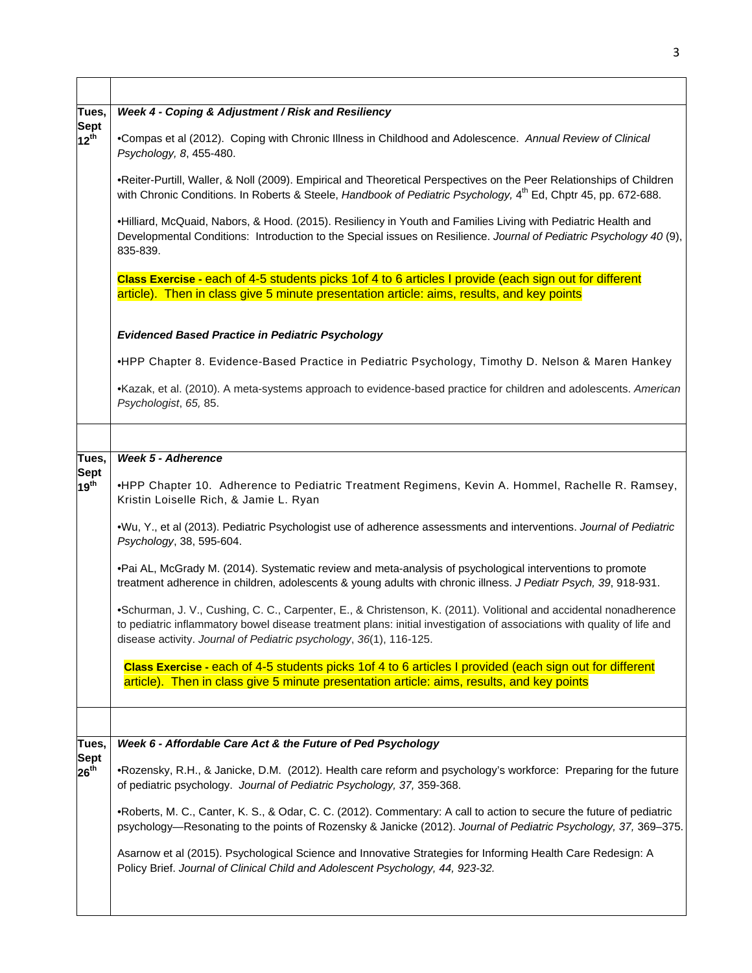| Tues,                 | Week 4 - Coping & Adjustment / Risk and Resiliency                                                                                                                                                                                                                                                                 |  |  |  |  |  |  |  |  |  |  |
|-----------------------|--------------------------------------------------------------------------------------------------------------------------------------------------------------------------------------------------------------------------------------------------------------------------------------------------------------------|--|--|--|--|--|--|--|--|--|--|
| Sept<br>$12^{th}$     | .Compas et al (2012). Coping with Chronic Illness in Childhood and Adolescence. Annual Review of Clinical<br>Psychology, 8, 455-480.                                                                                                                                                                               |  |  |  |  |  |  |  |  |  |  |
|                       | . Reiter-Purtill, Waller, & Noll (2009). Empirical and Theoretical Perspectives on the Peer Relationships of Children<br>with Chronic Conditions. In Roberts & Steele, Handbook of Pediatric Psychology, 4th Ed, Chptr 45, pp. 672-688.                                                                            |  |  |  |  |  |  |  |  |  |  |
|                       | •Hilliard, McQuaid, Nabors, & Hood. (2015). Resiliency in Youth and Families Living with Pediatric Health and<br>Developmental Conditions: Introduction to the Special issues on Resilience. Journal of Pediatric Psychology 40 (9),<br>835-839.                                                                   |  |  |  |  |  |  |  |  |  |  |
|                       | Class Exercise - each of 4-5 students picks 1 of 4 to 6 articles I provide (each sign out for different                                                                                                                                                                                                            |  |  |  |  |  |  |  |  |  |  |
|                       | article). Then in class give 5 minute presentation article: aims, results, and key points                                                                                                                                                                                                                          |  |  |  |  |  |  |  |  |  |  |
|                       | <b>Evidenced Based Practice in Pediatric Psychology</b>                                                                                                                                                                                                                                                            |  |  |  |  |  |  |  |  |  |  |
|                       | •HPP Chapter 8. Evidence-Based Practice in Pediatric Psychology, Timothy D. Nelson & Maren Hankey                                                                                                                                                                                                                  |  |  |  |  |  |  |  |  |  |  |
|                       | •Kazak, et al. (2010). A meta-systems approach to evidence-based practice for children and adolescents. American<br>Psychologist, 65, 85.                                                                                                                                                                          |  |  |  |  |  |  |  |  |  |  |
|                       |                                                                                                                                                                                                                                                                                                                    |  |  |  |  |  |  |  |  |  |  |
| Tues,                 | <b>Week 5 - Adherence</b>                                                                                                                                                                                                                                                                                          |  |  |  |  |  |  |  |  |  |  |
| Sept<br>$19^{th}$     | •HPP Chapter 10. Adherence to Pediatric Treatment Regimens, Kevin A. Hommel, Rachelle R. Ramsey,<br>Kristin Loiselle Rich, & Jamie L. Ryan                                                                                                                                                                         |  |  |  |  |  |  |  |  |  |  |
|                       | •Wu, Y., et al (2013). Pediatric Psychologist use of adherence assessments and interventions. Journal of Pediatric<br>Psychology, 38, 595-604.                                                                                                                                                                     |  |  |  |  |  |  |  |  |  |  |
|                       | •Pai AL, McGrady M. (2014). Systematic review and meta-analysis of psychological interventions to promote<br>treatment adherence in children, adolescents & young adults with chronic illness. J Pediatr Psych, 39, 918-931.                                                                                       |  |  |  |  |  |  |  |  |  |  |
|                       | •Schurman, J. V., Cushing, C. C., Carpenter, E., & Christenson, K. (2011). Volitional and accidental nonadherence<br>to pediatric inflammatory bowel disease treatment plans: initial investigation of associations with quality of life and<br>disease activity. Journal of Pediatric psychology, 36(1), 116-125. |  |  |  |  |  |  |  |  |  |  |
|                       | Class Exercise - each of 4-5 students picks 1 of 4 to 6 articles I provided (each sign out for different<br>article). Then in class give 5 minute presentation article: aims, results, and key points                                                                                                              |  |  |  |  |  |  |  |  |  |  |
|                       |                                                                                                                                                                                                                                                                                                                    |  |  |  |  |  |  |  |  |  |  |
| Tues,                 | Week 6 - Affordable Care Act & the Future of Ped Psychology                                                                                                                                                                                                                                                        |  |  |  |  |  |  |  |  |  |  |
| Sept<br>$26^{\sf th}$ | •Rozensky, R.H., & Janicke, D.M. (2012). Health care reform and psychology's workforce: Preparing for the future<br>of pediatric psychology. Journal of Pediatric Psychology, 37, 359-368.                                                                                                                         |  |  |  |  |  |  |  |  |  |  |
|                       | •Roberts, M. C., Canter, K. S., & Odar, C. C. (2012). Commentary: A call to action to secure the future of pediatric<br>psychology—Resonating to the points of Rozensky & Janicke (2012). Journal of Pediatric Psychology, 37, 369-375.                                                                            |  |  |  |  |  |  |  |  |  |  |
|                       | Asarnow et al (2015). Psychological Science and Innovative Strategies for Informing Health Care Redesign: A<br>Policy Brief. Journal of Clinical Child and Adolescent Psychology, 44, 923-32.                                                                                                                      |  |  |  |  |  |  |  |  |  |  |

 $\overline{\mathsf{I}}$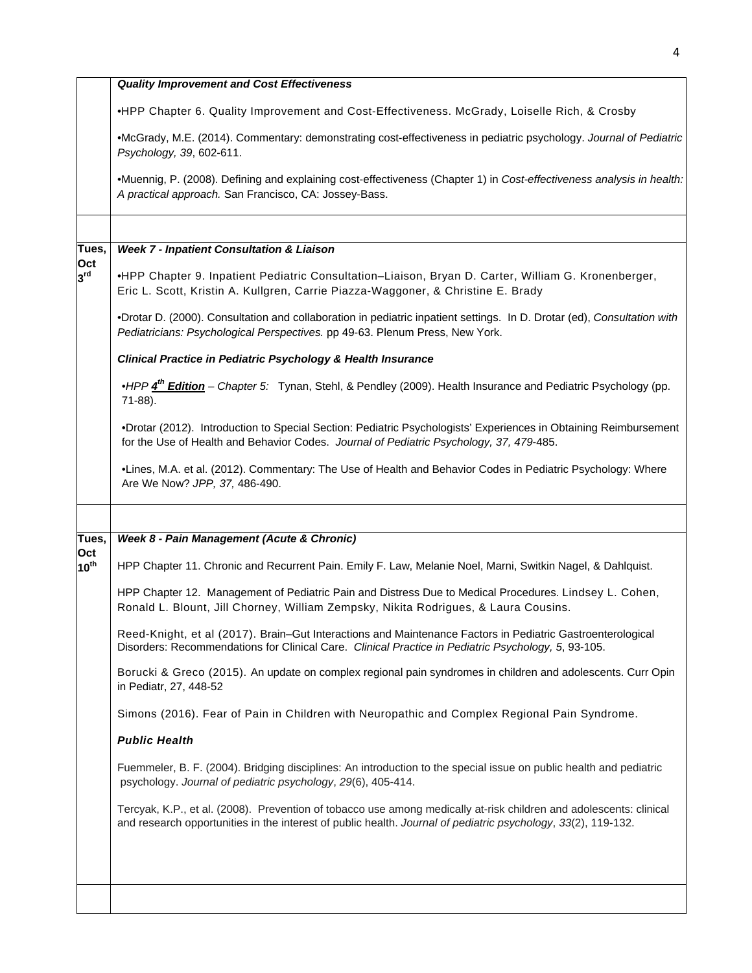|                         | <b>Quality Improvement and Cost Effectiveness</b>                                                                                                                                                                                   |
|-------------------------|-------------------------------------------------------------------------------------------------------------------------------------------------------------------------------------------------------------------------------------|
|                         | •HPP Chapter 6. Quality Improvement and Cost-Effectiveness. McGrady, Loiselle Rich, & Crosby                                                                                                                                        |
|                         | •McGrady, M.E. (2014). Commentary: demonstrating cost-effectiveness in pediatric psychology. Journal of Pediatric<br>Psychology, 39, 602-611.                                                                                       |
|                         | •Muennig, P. (2008). Defining and explaining cost-effectiveness (Chapter 1) in Cost-effectiveness analysis in health:<br>A practical approach. San Francisco, CA: Jossey-Bass.                                                      |
|                         |                                                                                                                                                                                                                                     |
| Tues,<br>Oct            | <b>Week 7 - Inpatient Consultation &amp; Liaison</b>                                                                                                                                                                                |
| 3 <sup>rd</sup>         | •HPP Chapter 9. Inpatient Pediatric Consultation-Liaison, Bryan D. Carter, William G. Kronenberger,<br>Eric L. Scott, Kristin A. Kullgren, Carrie Piazza-Waggoner, & Christine E. Brady                                             |
|                         | .Drotar D. (2000). Consultation and collaboration in pediatric inpatient settings. In D. Drotar (ed), Consultation with<br>Pediatricians: Psychological Perspectives. pp 49-63. Plenum Press, New York.                             |
|                         | <b>Clinical Practice in Pediatric Psychology &amp; Health Insurance</b>                                                                                                                                                             |
|                         | •HPP 4 <sup>th</sup> Edition - Chapter 5: Tynan, Stehl, & Pendley (2009). Health Insurance and Pediatric Psychology (pp.<br>71-88).                                                                                                 |
|                         | •Drotar (2012). Introduction to Special Section: Pediatric Psychologists' Experiences in Obtaining Reimbursement<br>for the Use of Health and Behavior Codes. Journal of Pediatric Psychology, 37, 479-485.                         |
|                         | •Lines, M.A. et al. (2012). Commentary: The Use of Health and Behavior Codes in Pediatric Psychology: Where<br>Are We Now? JPP, 37, 486-490.                                                                                        |
|                         |                                                                                                                                                                                                                                     |
| Tues,                   | Week 8 - Pain Management (Acute & Chronic)                                                                                                                                                                                          |
| Oct<br>$10^{\text{th}}$ | HPP Chapter 11. Chronic and Recurrent Pain. Emily F. Law, Melanie Noel, Marni, Switkin Nagel, & Dahlquist.                                                                                                                          |
|                         | HPP Chapter 12. Management of Pediatric Pain and Distress Due to Medical Procedures. Lindsey L. Cohen,<br>Ronald L. Blount, Jill Chorney, William Zempsky, Nikita Rodrigues, & Laura Cousins.                                       |
|                         | Reed-Knight, et al (2017). Brain-Gut Interactions and Maintenance Factors in Pediatric Gastroenterological<br>Disorders: Recommendations for Clinical Care. Clinical Practice in Pediatric Psychology, 5, 93-105.                   |
|                         | Borucki & Greco (2015). An update on complex regional pain syndromes in children and adolescents. Curr Opin<br>in Pediatr, 27, 448-52                                                                                               |
|                         | Simons (2016). Fear of Pain in Children with Neuropathic and Complex Regional Pain Syndrome.                                                                                                                                        |
|                         | <b>Public Health</b>                                                                                                                                                                                                                |
|                         | Fuemmeler, B. F. (2004). Bridging disciplines: An introduction to the special issue on public health and pediatric<br>psychology. Journal of pediatric psychology, 29(6), 405-414.                                                  |
|                         | Tercyak, K.P., et al. (2008). Prevention of tobacco use among medically at-risk children and adolescents: clinical<br>and research opportunities in the interest of public health. Journal of pediatric psychology, 33(2), 119-132. |
|                         |                                                                                                                                                                                                                                     |
|                         |                                                                                                                                                                                                                                     |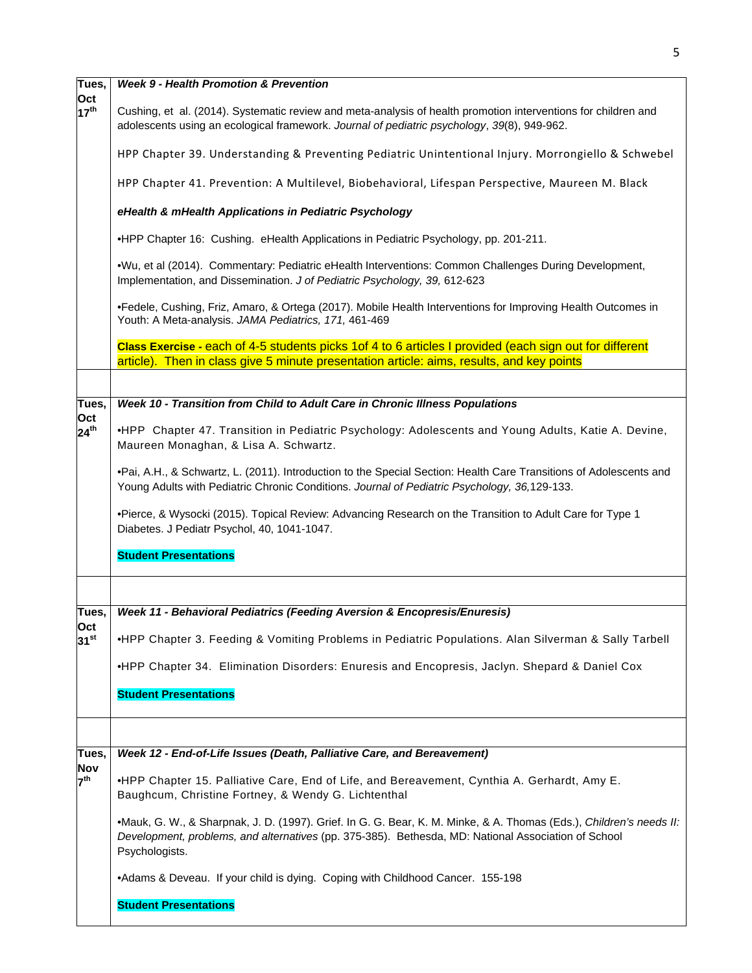| Tues,                          | <b>Week 9 - Health Promotion &amp; Prevention</b>                                                                                                                                                                                            |  |  |  |  |  |  |  |  |  |
|--------------------------------|----------------------------------------------------------------------------------------------------------------------------------------------------------------------------------------------------------------------------------------------|--|--|--|--|--|--|--|--|--|
| Oct<br>17 <sup>th</sup>        | Cushing, et al. (2014). Systematic review and meta-analysis of health promotion interventions for children and<br>adolescents using an ecological framework. Journal of pediatric psychology, 39(8), 949-962.                                |  |  |  |  |  |  |  |  |  |
|                                | HPP Chapter 39. Understanding & Preventing Pediatric Unintentional Injury. Morrongiello & Schwebel                                                                                                                                           |  |  |  |  |  |  |  |  |  |
|                                | HPP Chapter 41. Prevention: A Multilevel, Biobehavioral, Lifespan Perspective, Maureen M. Black                                                                                                                                              |  |  |  |  |  |  |  |  |  |
|                                | eHealth & mHealth Applications in Pediatric Psychology                                                                                                                                                                                       |  |  |  |  |  |  |  |  |  |
|                                | •HPP Chapter 16: Cushing. eHealth Applications in Pediatric Psychology, pp. 201-211.                                                                                                                                                         |  |  |  |  |  |  |  |  |  |
|                                | .Wu, et al (2014). Commentary: Pediatric eHealth Interventions: Common Challenges During Development,<br>Implementation, and Dissemination. J of Pediatric Psychology, 39, 612-623                                                           |  |  |  |  |  |  |  |  |  |
|                                | •Fedele, Cushing, Friz, Amaro, & Ortega (2017). Mobile Health Interventions for Improving Health Outcomes in<br>Youth: A Meta-analysis. JAMA Pediatrics, 171, 461-469                                                                        |  |  |  |  |  |  |  |  |  |
|                                | Class Exercise - each of 4-5 students picks 1 of 4 to 6 articles I provided (each sign out for different<br>article). Then in class give 5 minute presentation article: aims, results, and key points                                        |  |  |  |  |  |  |  |  |  |
|                                |                                                                                                                                                                                                                                              |  |  |  |  |  |  |  |  |  |
| Tues,                          | Week 10 - Transition from Child to Adult Care in Chronic Illness Populations                                                                                                                                                                 |  |  |  |  |  |  |  |  |  |
| Oct<br>$24^{th}$               | •HPP Chapter 47. Transition in Pediatric Psychology: Adolescents and Young Adults, Katie A. Devine,                                                                                                                                          |  |  |  |  |  |  |  |  |  |
|                                | Maureen Monaghan, & Lisa A. Schwartz.                                                                                                                                                                                                        |  |  |  |  |  |  |  |  |  |
|                                | •Pai, A.H., & Schwartz, L. (2011). Introduction to the Special Section: Health Care Transitions of Adolescents and<br>Young Adults with Pediatric Chronic Conditions. Journal of Pediatric Psychology, 36,129-133.                           |  |  |  |  |  |  |  |  |  |
|                                | •Pierce, & Wysocki (2015). Topical Review: Advancing Research on the Transition to Adult Care for Type 1<br>Diabetes. J Pediatr Psychol, 40, 1041-1047.                                                                                      |  |  |  |  |  |  |  |  |  |
|                                | <b>Student Presentations</b>                                                                                                                                                                                                                 |  |  |  |  |  |  |  |  |  |
|                                |                                                                                                                                                                                                                                              |  |  |  |  |  |  |  |  |  |
| Tues,                          | Week 11 - Behavioral Pediatrics (Feeding Aversion & Encopresis/Enuresis)                                                                                                                                                                     |  |  |  |  |  |  |  |  |  |
| <b>Oct</b><br>31 <sup>st</sup> | •HPP Chapter 3. Feeding & Vomiting Problems in Pediatric Populations. Alan Silverman & Sally Tarbell                                                                                                                                         |  |  |  |  |  |  |  |  |  |
|                                | •HPP Chapter 34. Elimination Disorders: Enuresis and Encopresis, Jaclyn. Shepard & Daniel Cox                                                                                                                                                |  |  |  |  |  |  |  |  |  |
|                                | <b>Student Presentations</b>                                                                                                                                                                                                                 |  |  |  |  |  |  |  |  |  |
|                                |                                                                                                                                                                                                                                              |  |  |  |  |  |  |  |  |  |
| Tues,                          | Week 12 - End-of-Life Issues (Death, Palliative Care, and Bereavement)                                                                                                                                                                       |  |  |  |  |  |  |  |  |  |
| <b>Nov</b><br>7 <sup>th</sup>  | .HPP Chapter 15. Palliative Care, End of Life, and Bereavement, Cynthia A. Gerhardt, Amy E.<br>Baughcum, Christine Fortney, & Wendy G. Lichtenthal                                                                                           |  |  |  |  |  |  |  |  |  |
|                                | •Mauk, G. W., & Sharpnak, J. D. (1997). Grief. In G. G. Bear, K. M. Minke, & A. Thomas (Eds.), Children's needs II:<br>Development, problems, and alternatives (pp. 375-385). Bethesda, MD: National Association of School<br>Psychologists. |  |  |  |  |  |  |  |  |  |
|                                | •Adams & Deveau. If your child is dying. Coping with Childhood Cancer. 155-198                                                                                                                                                               |  |  |  |  |  |  |  |  |  |
|                                | <b>Student Presentations</b>                                                                                                                                                                                                                 |  |  |  |  |  |  |  |  |  |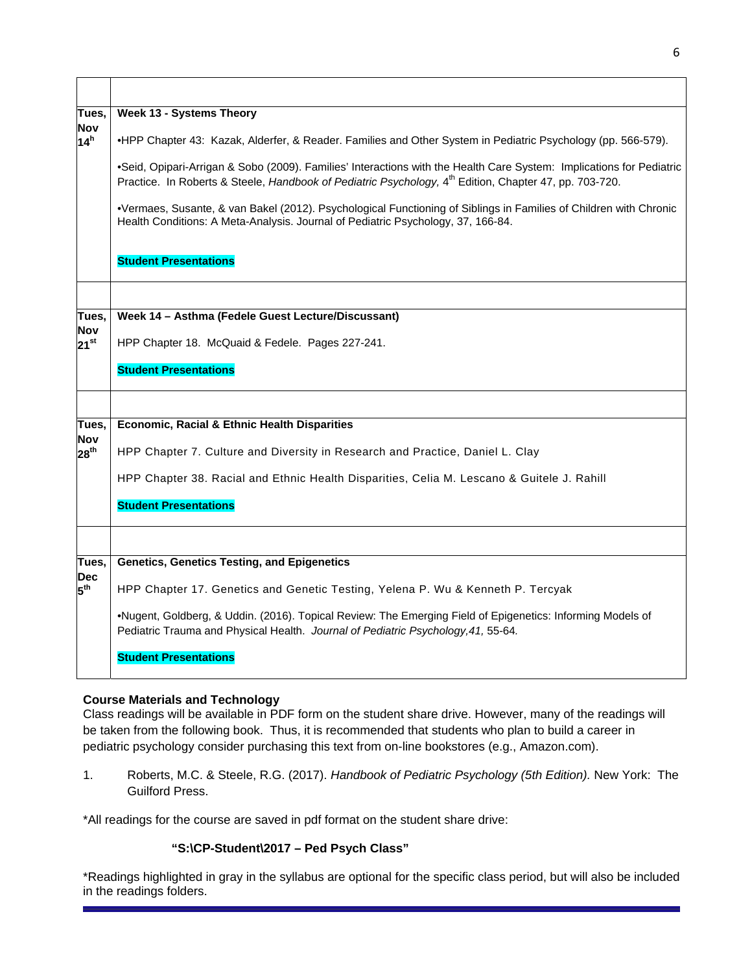| Tues,                          | <b>Week 13 - Systems Theory</b>                                                                                                                                                                                                            |
|--------------------------------|--------------------------------------------------------------------------------------------------------------------------------------------------------------------------------------------------------------------------------------------|
| <b>Nov</b><br>14 <sup>h</sup>  | •HPP Chapter 43: Kazak, Alderfer, & Reader. Families and Other System in Pediatric Psychology (pp. 566-579).                                                                                                                               |
|                                | .Seid, Opipari-Arrigan & Sobo (2009). Families' Interactions with the Health Care System: Implications for Pediatric<br>Practice. In Roberts & Steele, Handbook of Pediatric Psychology, 4 <sup>th</sup> Edition, Chapter 47, pp. 703-720. |
|                                | •Vermaes, Susante, & van Bakel (2012). Psychological Functioning of Siblings in Families of Children with Chronic<br>Health Conditions: A Meta-Analysis. Journal of Pediatric Psychology, 37, 166-84.                                      |
|                                | <b>Student Presentations</b>                                                                                                                                                                                                               |
|                                |                                                                                                                                                                                                                                            |
| Tues,                          | Week 14 - Asthma (Fedele Guest Lecture/Discussant)                                                                                                                                                                                         |
| <b>Nov</b><br>$21^{st}$        | HPP Chapter 18. McQuaid & Fedele. Pages 227-241.                                                                                                                                                                                           |
|                                | <b>Student Presentations</b>                                                                                                                                                                                                               |
|                                |                                                                                                                                                                                                                                            |
| Tues,                          | <b>Economic, Racial &amp; Ethnic Health Disparities</b>                                                                                                                                                                                    |
| <b>Nov</b><br>28 <sup>th</sup> | HPP Chapter 7. Culture and Diversity in Research and Practice, Daniel L. Clay                                                                                                                                                              |
|                                | HPP Chapter 38. Racial and Ethnic Health Disparities, Celia M. Lescano & Guitele J. Rahill                                                                                                                                                 |
|                                | <b>Student Presentations</b>                                                                                                                                                                                                               |
|                                |                                                                                                                                                                                                                                            |
| Tues,                          | <b>Genetics, Genetics Testing, and Epigenetics</b>                                                                                                                                                                                         |
| <b>Dec</b><br>5 <sup>th</sup>  | HPP Chapter 17. Genetics and Genetic Testing, Yelena P. Wu & Kenneth P. Tercyak                                                                                                                                                            |
|                                | .Nugent, Goldberg, & Uddin. (2016). Topical Review: The Emerging Field of Epigenetics: Informing Models of<br>Pediatric Trauma and Physical Health. Journal of Pediatric Psychology, 41, 55-64.                                            |
|                                | <b>Student Presentations</b>                                                                                                                                                                                                               |

# **Course Materials and Technology**

Class readings will be available in PDF form on the student share drive. However, many of the readings will be taken from the following book. Thus, it is recommended that students who plan to build a career in pediatric psychology consider purchasing this text from on-line bookstores (e.g., Amazon.com).

1. Roberts, M.C. & Steele, R.G. (2017). *Handbook of Pediatric Psychology (5th Edition).* New York: The Guilford Press.

\*All readings for the course are saved in pdf format on the student share drive:

# **"S:\CP-Student\2017 – Ped Psych Class"**

\*Readings highlighted in gray in the syllabus are optional for the specific class period, but will also be included in the readings folders.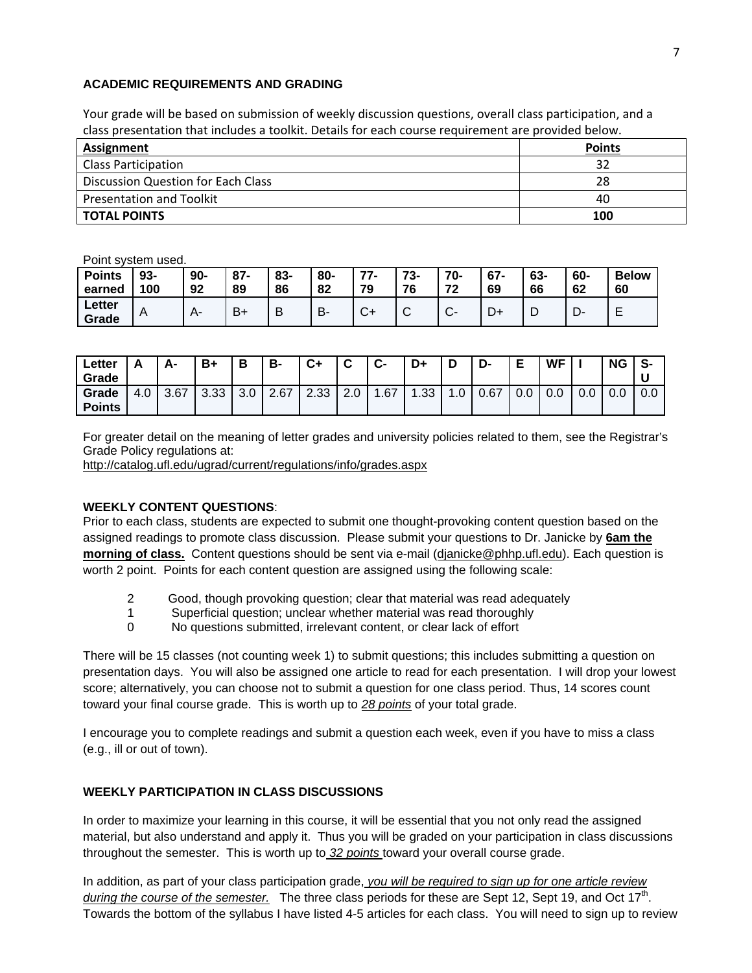## **ACADEMIC REQUIREMENTS AND GRADING**

Your grade will be based on submission of weekly discussion questions, overall class participation, and a class presentation that includes a toolkit. Details for each course requirement are provided below.

| <b>Assignment</b>                  | <b>Points</b> |
|------------------------------------|---------------|
| <b>Class Participation</b>         | 32            |
| Discussion Question for Each Class | 28            |
| <b>Presentation and Toolkit</b>    | 40            |
| <b>TOTAL POINTS</b>                | 100           |

Point system used.

| <b>Points</b><br>earned | 93-<br>100 | $90-$<br>92 | 87<br>89 | 83-<br>86 | 80-<br>82 | 77<br>79     | 73-<br>76       | 70-<br>72<br>▴   | $67 -$<br>69 | 63-<br>66 | 60-<br>62 | <b>Below</b><br>60 |
|-------------------------|------------|-------------|----------|-----------|-----------|--------------|-----------------|------------------|--------------|-----------|-----------|--------------------|
| ∟etter<br>Grade         | A          |             | $B +$    | D         | В.        | $\sim$<br>J. | $\sqrt{ }$<br>ັ | $\sim$<br>$\sim$ | ◡            | ◡         | D-        | -                  |

| Letter<br>Grade        | Δ<br><u>r</u> |      | B+   | В   | в-   | $C+$ | ◠        | ◠<br>v- | D+  |    | D-   | F<br>► | <b>WF</b> |     | <b>NG</b> | $\bullet$<br>. ა- |
|------------------------|---------------|------|------|-----|------|------|----------|---------|-----|----|------|--------|-----------|-----|-----------|-------------------|
| Grade<br><b>Points</b> | 4.0           | 3.67 | 3.33 | 3.0 | 2.67 | 2.33 | ◠<br>2.U | .67     | .33 | .0 | 0.67 | 0.0    | 0.0       | 0.0 | 0.0       | 0.0               |

For greater detail on the meaning of letter grades and university policies related to them, see the Registrar's Grade Policy regulations at:

http://catalog.ufl.edu/ugrad/current/regulations/info/grades.aspx

# **WEEKLY CONTENT QUESTIONS**:

Prior to each class, students are expected to submit one thought-provoking content question based on the assigned readings to promote class discussion. Please submit your questions to Dr. Janicke by **6am the morning of class.** Content questions should be sent via e-mail (djanicke@phhp.ufl.edu). Each question is worth 2 point. Points for each content question are assigned using the following scale:

- 2 Good, though provoking question; clear that material was read adequately
- 1 Superficial question; unclear whether material was read thoroughly
- 0 No questions submitted, irrelevant content, or clear lack of effort

There will be 15 classes (not counting week 1) to submit questions; this includes submitting a question on presentation days. You will also be assigned one article to read for each presentation. I will drop your lowest score; alternatively, you can choose not to submit a question for one class period. Thus, 14 scores count toward your final course grade. This is worth up to *28 points* of your total grade.

I encourage you to complete readings and submit a question each week, even if you have to miss a class (e.g., ill or out of town).

# **WEEKLY PARTICIPATION IN CLASS DISCUSSIONS**

In order to maximize your learning in this course, it will be essential that you not only read the assigned material, but also understand and apply it. Thus you will be graded on your participation in class discussions throughout the semester. This is worth up to *32 points* toward your overall course grade.

In addition, as part of your class participation grade, *you will be required to sign up for one article review during the course of the semester.* The three class periods for these are Sept 12, Sept 19, and Oct 17<sup>th</sup>. Towards the bottom of the syllabus I have listed 4-5 articles for each class. You will need to sign up to review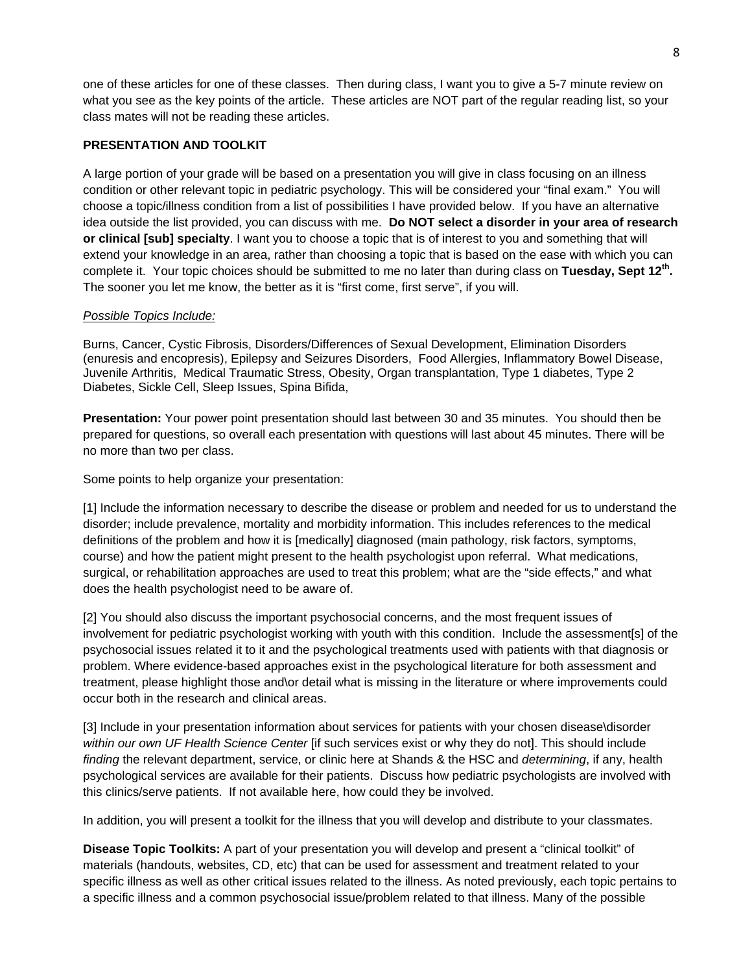one of these articles for one of these classes. Then during class, I want you to give a 5-7 minute review on what you see as the key points of the article. These articles are NOT part of the regular reading list, so your class mates will not be reading these articles.

# **PRESENTATION AND TOOLKIT**

A large portion of your grade will be based on a presentation you will give in class focusing on an illness condition or other relevant topic in pediatric psychology. This will be considered your "final exam." You will choose a topic/illness condition from a list of possibilities I have provided below. If you have an alternative idea outside the list provided, you can discuss with me. **Do NOT select a disorder in your area of research or clinical [sub] specialty**. I want you to choose a topic that is of interest to you and something that will extend your knowledge in an area, rather than choosing a topic that is based on the ease with which you can complete it. Your topic choices should be submitted to me no later than during class on **Tuesday, Sept 12th.** The sooner you let me know, the better as it is "first come, first serve", if you will.

# *Possible Topics Include:*

Burns, Cancer, Cystic Fibrosis, Disorders/Differences of Sexual Development, Elimination Disorders (enuresis and encopresis), Epilepsy and Seizures Disorders, Food Allergies, Inflammatory Bowel Disease, Juvenile Arthritis, Medical Traumatic Stress, Obesity, Organ transplantation, Type 1 diabetes, Type 2 Diabetes, Sickle Cell, Sleep Issues, Spina Bifida,

**Presentation:** Your power point presentation should last between 30 and 35 minutes. You should then be prepared for questions, so overall each presentation with questions will last about 45 minutes. There will be no more than two per class.

Some points to help organize your presentation:

[1] Include the information necessary to describe the disease or problem and needed for us to understand the disorder; include prevalence, mortality and morbidity information. This includes references to the medical definitions of the problem and how it is [medically] diagnosed (main pathology, risk factors, symptoms, course) and how the patient might present to the health psychologist upon referral. What medications, surgical, or rehabilitation approaches are used to treat this problem; what are the "side effects," and what does the health psychologist need to be aware of.

[2] You should also discuss the important psychosocial concerns, and the most frequent issues of involvement for pediatric psychologist working with youth with this condition. Include the assessment[s] of the psychosocial issues related it to it and the psychological treatments used with patients with that diagnosis or problem. Where evidence-based approaches exist in the psychological literature for both assessment and treatment, please highlight those and\or detail what is missing in the literature or where improvements could occur both in the research and clinical areas.

[3] Include in your presentation information about services for patients with your chosen disease\disorder *within our own UF Health Science Center* [if such services exist or why they do not]. This should include *finding* the relevant department, service, or clinic here at Shands & the HSC and *determining*, if any, health psychological services are available for their patients. Discuss how pediatric psychologists are involved with this clinics/serve patients. If not available here, how could they be involved.

In addition, you will present a toolkit for the illness that you will develop and distribute to your classmates.

**Disease Topic Toolkits:** A part of your presentation you will develop and present a "clinical toolkit" of materials (handouts, websites, CD, etc) that can be used for assessment and treatment related to your specific illness as well as other critical issues related to the illness. As noted previously, each topic pertains to a specific illness and a common psychosocial issue/problem related to that illness. Many of the possible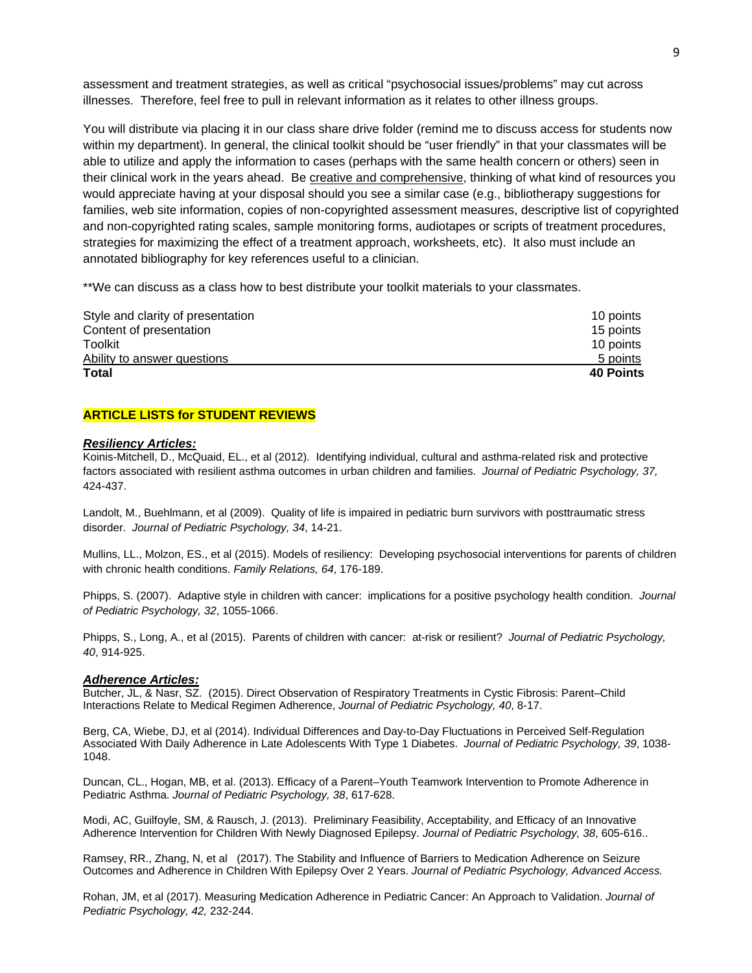assessment and treatment strategies, as well as critical "psychosocial issues/problems" may cut across illnesses. Therefore, feel free to pull in relevant information as it relates to other illness groups.

You will distribute via placing it in our class share drive folder (remind me to discuss access for students now within my department). In general, the clinical toolkit should be "user friendly" in that your classmates will be able to utilize and apply the information to cases (perhaps with the same health concern or others) seen in their clinical work in the years ahead. Be creative and comprehensive, thinking of what kind of resources you would appreciate having at your disposal should you see a similar case (e.g., bibliotherapy suggestions for families, web site information, copies of non-copyrighted assessment measures, descriptive list of copyrighted and non-copyrighted rating scales, sample monitoring forms, audiotapes or scripts of treatment procedures, strategies for maximizing the effect of a treatment approach, worksheets, etc). It also must include an annotated bibliography for key references useful to a clinician.

\*\*We can discuss as a class how to best distribute your toolkit materials to your classmates.

| Style and clarity of presentation | 10 points        |
|-----------------------------------|------------------|
| Content of presentation           | 15 points        |
| Toolkit                           | 10 points        |
| Ability to answer questions       | 5 points         |
| Total                             | <b>40 Points</b> |

### **ARTICLE LISTS for STUDENT REVIEWS**

#### *Resiliency Articles:*

Koinis-Mitchell, D., McQuaid, EL., et al (2012). Identifying individual, cultural and asthma-related risk and protective factors associated with resilient asthma outcomes in urban children and families. *Journal of Pediatric Psychology, 37,*  424-437.

Landolt, M., Buehlmann, et al (2009). Quality of life is impaired in pediatric burn survivors with posttraumatic stress disorder. *Journal of Pediatric Psychology, 34*, 14-21.

Mullins, LL., Molzon, ES., et al (2015). Models of resiliency: Developing psychosocial interventions for parents of children with chronic health conditions. *Family Relations, 64*, 176-189.

Phipps, S. (2007). Adaptive style in children with cancer: implications for a positive psychology health condition. *Journal of Pediatric Psychology, 32*, 1055-1066.

Phipps, S., Long, A., et al (2015). Parents of children with cancer: at-risk or resilient? *Journal of Pediatric Psychology, 40*, 914-925.

#### *Adherence Articles:*

Butcher, JL, & Nasr, SZ. (2015). Direct Observation of Respiratory Treatments in Cystic Fibrosis: Parent–Child Interactions Relate to Medical Regimen Adherence, *Journal of Pediatric Psychology, 40*, 8-17.

Berg, CA, Wiebe, DJ, et al (2014). Individual Differences and Day-to-Day Fluctuations in Perceived Self-Regulation Associated With Daily Adherence in Late Adolescents With Type 1 Diabetes. *Journal of Pediatric Psychology, 39*, 1038- 1048.

Duncan, CL., Hogan, MB, et al. (2013). Efficacy of a Parent–Youth Teamwork Intervention to Promote Adherence in Pediatric Asthma. *Journal of Pediatric Psychology, 38*, 617-628.

Modi, AC, Guilfoyle, SM, & Rausch, J. (2013). Preliminary Feasibility, Acceptability, and Efficacy of an Innovative Adherence Intervention for Children With Newly Diagnosed Epilepsy. *Journal of Pediatric Psychology, 38*, 605-616..

Ramsey, RR., Zhang, N, et al (2017). The Stability and Influence of Barriers to Medication Adherence on Seizure Outcomes and Adherence in Children With Epilepsy Over 2 Years. *Journal of Pediatric Psychology, Advanced Access.*

Rohan, JM, et al (2017). Measuring Medication Adherence in Pediatric Cancer: An Approach to Validation. *Journal of Pediatric Psychology, 42,* 232-244.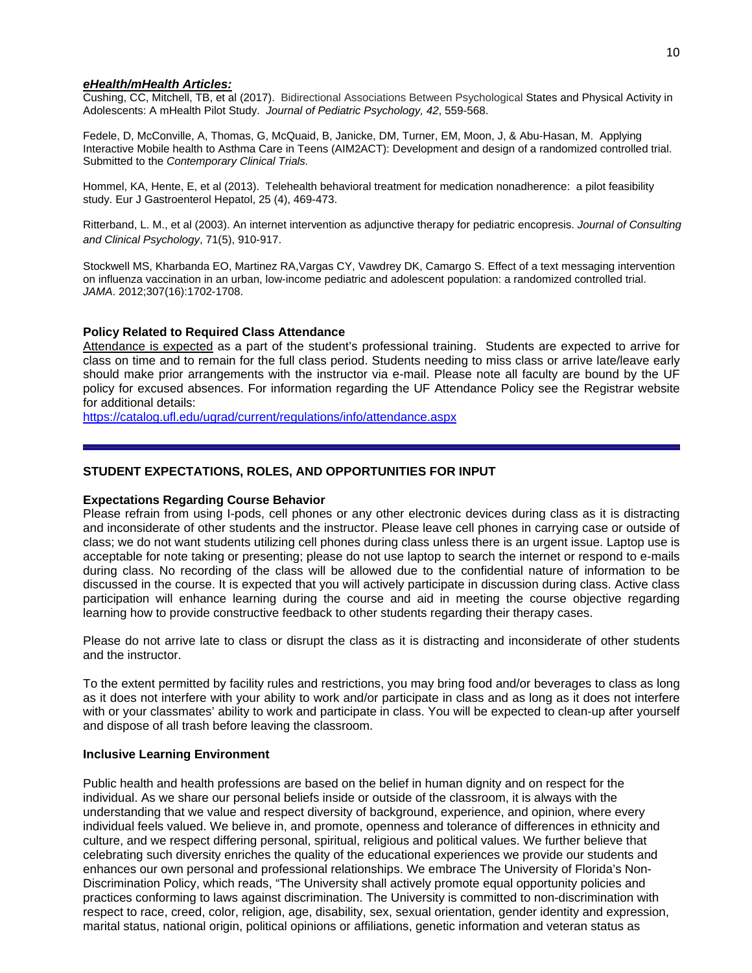### *eHealth/mHealth Articles:*

Cushing, CC, Mitchell, TB, et al (2017). Bidirectional Associations Between Psychological States and Physical Activity in Adolescents: A mHealth Pilot Study. *Journal of Pediatric Psychology, 42*, 559-568.

Fedele, D, McConville, A, Thomas, G, McQuaid, B, Janicke, DM, Turner, EM, Moon, J, & Abu-Hasan, M. Applying Interactive Mobile health to Asthma Care in Teens (AIM2ACT): Development and design of a randomized controlled trial. Submitted to the *Contemporary Clinical Trials.* 

Hommel, KA, Hente, E, et al (2013). Telehealth behavioral treatment for medication nonadherence: a pilot feasibility study. Eur J Gastroenterol Hepatol, 25 (4), 469-473.

Ritterband, L. M., et al (2003). An internet intervention as adjunctive therapy for pediatric encopresis. *Journal of Consulting and Clinical Psychology*, 71(5), 910-917.

Stockwell MS, Kharbanda EO, Martinez RA,Vargas CY, Vawdrey DK, Camargo S. Effect of a text messaging intervention on influenza vaccination in an urban, low-income pediatric and adolescent population: a randomized controlled trial. *JAMA*. 2012;307(16):1702-1708.

## **Policy Related to Required Class Attendance**

Attendance is expected as a part of the student's professional training. Students are expected to arrive for class on time and to remain for the full class period. Students needing to miss class or arrive late/leave early should make prior arrangements with the instructor via e-mail. Please note all faculty are bound by the UF policy for excused absences. For information regarding the UF Attendance Policy see the Registrar website for additional details:

https://catalog.ufl.edu/ugrad/current/regulations/info/attendance.aspx

### **STUDENT EXPECTATIONS, ROLES, AND OPPORTUNITIES FOR INPUT**

### **Expectations Regarding Course Behavior**

Please refrain from using I-pods, cell phones or any other electronic devices during class as it is distracting and inconsiderate of other students and the instructor. Please leave cell phones in carrying case or outside of class; we do not want students utilizing cell phones during class unless there is an urgent issue. Laptop use is acceptable for note taking or presenting; please do not use laptop to search the internet or respond to e-mails during class. No recording of the class will be allowed due to the confidential nature of information to be discussed in the course. It is expected that you will actively participate in discussion during class. Active class participation will enhance learning during the course and aid in meeting the course objective regarding learning how to provide constructive feedback to other students regarding their therapy cases.

Please do not arrive late to class or disrupt the class as it is distracting and inconsiderate of other students and the instructor.

To the extent permitted by facility rules and restrictions, you may bring food and/or beverages to class as long as it does not interfere with your ability to work and/or participate in class and as long as it does not interfere with or your classmates' ability to work and participate in class. You will be expected to clean-up after yourself and dispose of all trash before leaving the classroom.

### **Inclusive Learning Environment**

Public health and health professions are based on the belief in human dignity and on respect for the individual. As we share our personal beliefs inside or outside of the classroom, it is always with the understanding that we value and respect diversity of background, experience, and opinion, where every individual feels valued. We believe in, and promote, openness and tolerance of differences in ethnicity and culture, and we respect differing personal, spiritual, religious and political values. We further believe that celebrating such diversity enriches the quality of the educational experiences we provide our students and enhances our own personal and professional relationships. We embrace The University of Florida's Non-Discrimination Policy, which reads, "The University shall actively promote equal opportunity policies and practices conforming to laws against discrimination. The University is committed to non-discrimination with respect to race, creed, color, religion, age, disability, sex, sexual orientation, gender identity and expression, marital status, national origin, political opinions or affiliations, genetic information and veteran status as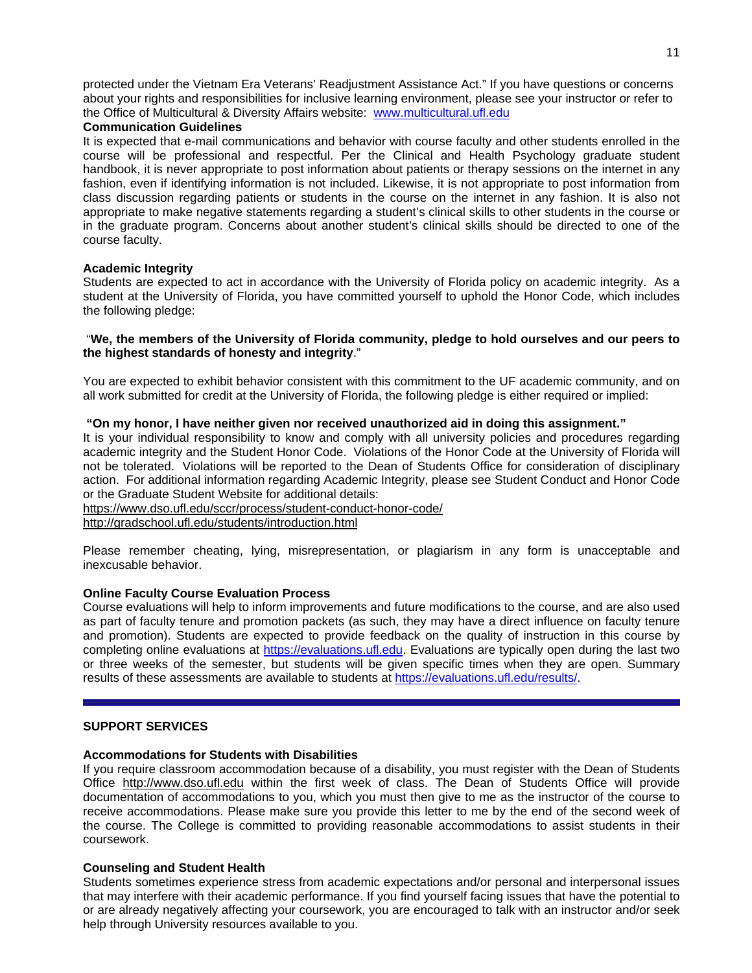protected under the Vietnam Era Veterans' Readjustment Assistance Act." If you have questions or concerns about your rights and responsibilities for inclusive learning environment, please see your instructor or refer to the Office of Multicultural & Diversity Affairs website: www.multicultural.ufl.edu

## **Communication Guidelines**

It is expected that e-mail communications and behavior with course faculty and other students enrolled in the course will be professional and respectful. Per the Clinical and Health Psychology graduate student handbook, it is never appropriate to post information about patients or therapy sessions on the internet in any fashion, even if identifying information is not included. Likewise, it is not appropriate to post information from class discussion regarding patients or students in the course on the internet in any fashion. It is also not appropriate to make negative statements regarding a student's clinical skills to other students in the course or in the graduate program. Concerns about another student's clinical skills should be directed to one of the course faculty.

## **Academic Integrity**

Students are expected to act in accordance with the University of Florida policy on academic integrity. As a student at the University of Florida, you have committed yourself to uphold the Honor Code, which includes the following pledge:

# "**We, the members of the University of Florida community, pledge to hold ourselves and our peers to the highest standards of honesty and integrity**."

You are expected to exhibit behavior consistent with this commitment to the UF academic community, and on all work submitted for credit at the University of Florida, the following pledge is either required or implied:

## **"On my honor, I have neither given nor received unauthorized aid in doing this assignment."**

It is your individual responsibility to know and comply with all university policies and procedures regarding academic integrity and the Student Honor Code. Violations of the Honor Code at the University of Florida will not be tolerated. Violations will be reported to the Dean of Students Office for consideration of disciplinary action. For additional information regarding Academic Integrity, please see Student Conduct and Honor Code or the Graduate Student Website for additional details:

https://www.dso.ufl.edu/sccr/process/student-conduct-honor-code/

http://gradschool.ufl.edu/students/introduction.html

Please remember cheating, lying, misrepresentation, or plagiarism in any form is unacceptable and inexcusable behavior.

## **Online Faculty Course Evaluation Process**

Course evaluations will help to inform improvements and future modifications to the course, and are also used as part of faculty tenure and promotion packets (as such, they may have a direct influence on faculty tenure and promotion). Students are expected to provide feedback on the quality of instruction in this course by completing online evaluations at https://evaluations.ufl.edu. Evaluations are typically open during the last two or three weeks of the semester, but students will be given specific times when they are open. Summary results of these assessments are available to students at https://evaluations.ufl.edu/results/.

## **SUPPORT SERVICES**

### **Accommodations for Students with Disabilities**

If you require classroom accommodation because of a disability, you must register with the Dean of Students Office http://www.dso.ufl.edu within the first week of class. The Dean of Students Office will provide documentation of accommodations to you, which you must then give to me as the instructor of the course to receive accommodations. Please make sure you provide this letter to me by the end of the second week of the course. The College is committed to providing reasonable accommodations to assist students in their coursework.

## **Counseling and Student Health**

Students sometimes experience stress from academic expectations and/or personal and interpersonal issues that may interfere with their academic performance. If you find yourself facing issues that have the potential to or are already negatively affecting your coursework, you are encouraged to talk with an instructor and/or seek help through University resources available to you.